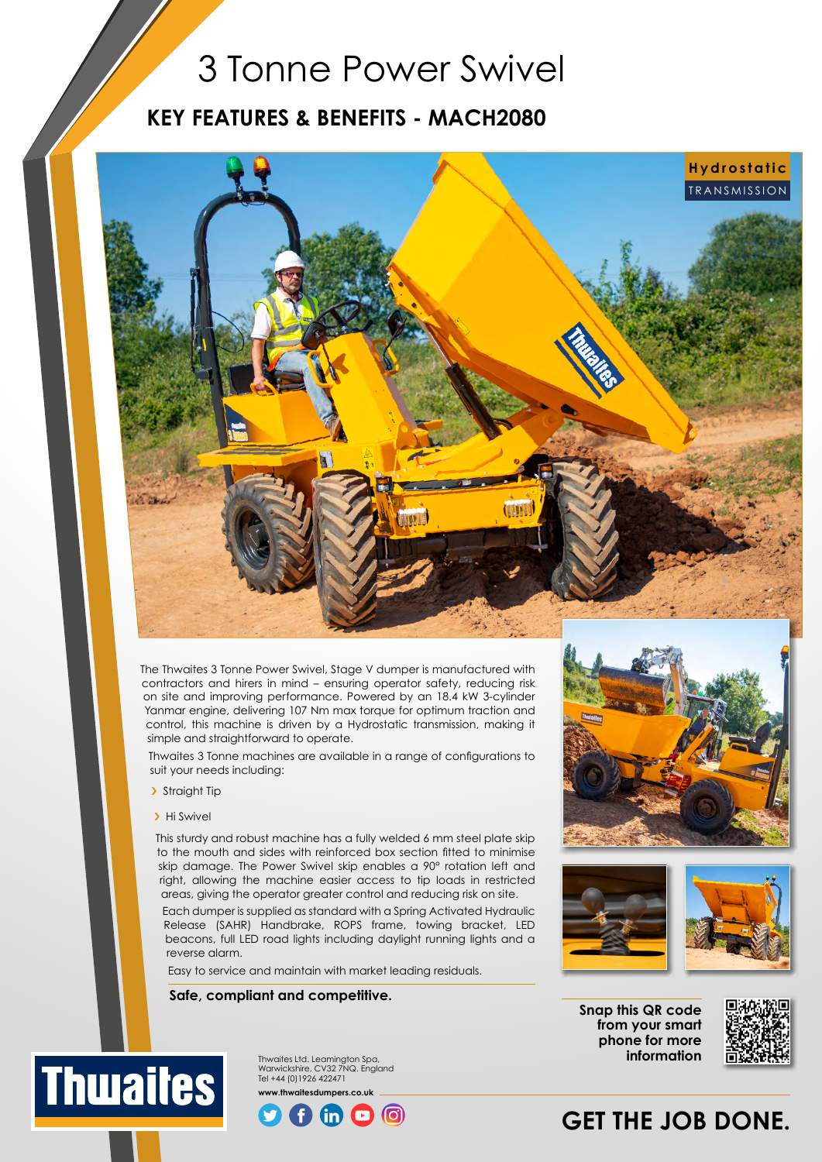## 3 Tonne Power Swivel

### **KEY FEATURES & BENEFITS - MACH2080**



The Thwaites 3 Tonne Power Swivel, Stage V dumper is manufactured with contractors and hirers in mind – ensuring operator safety, reducing risk on site and improving performance. Powered by an 18.4 kW 3-cylinder Yanmar engine, delivering 107 Nm max torque for optimum traction and control, this machine is driven by a Hydrostatic transmission, making it simple and straightforward to operate.

Thwaites 3 Tonne machines are available in a range of configurations to suit your needs including:

- > Straight Tip
- > Hi Swivel

This sturdy and robust machine has a fully welded 6 mm steel plate skip to the mouth and sides with reinforced box section fitted to minimise skip damage. The Power Swivel skip enables a 90° rotation left and right, allowing the machine easier access to tip loads in restricted areas, giving the operator greater control and reducing risk on site.

Each dumper is supplied as standard with a Spring Activated Hydraulic Release (SAHR) Handbrake, ROPS frame, towing bracket, LED beacons, full LED road lights including daylight running lights and a reverse alarm.

രി

Easy to service and maintain with market leading residuals.

Thwaites Ltd. Leamington Spa,

#### **Safe, compliant and competitive.**





**Snap this QR code from your smart phone for more information**



## **GET THE JOB DONE.**